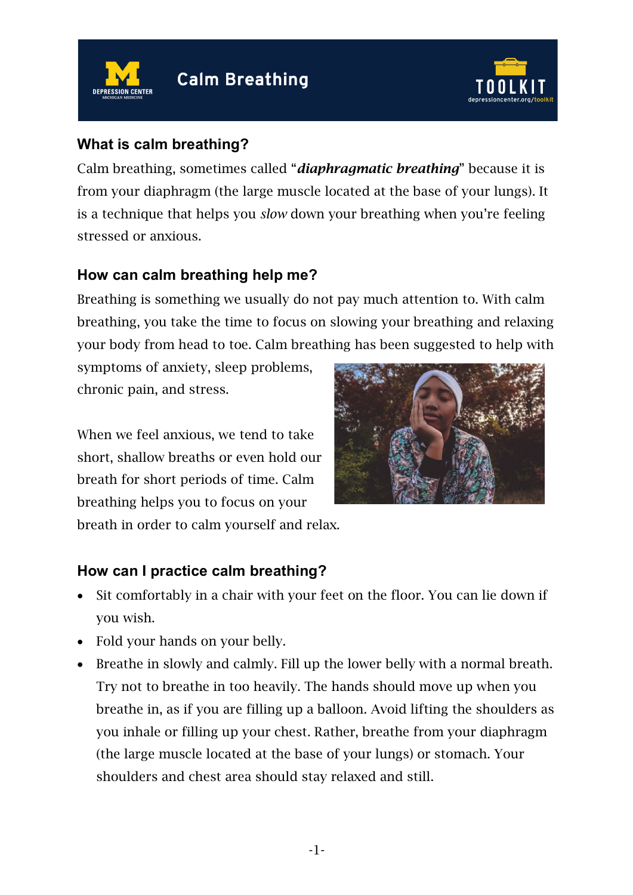



### **What is calm breathing?**

Calm breathing, sometimes called "*diaphragmatic breathing*" because it is from your diaphragm (the large muscle located at the base of your lungs). It is a technique that helps you *slow* down your breathing when you're feeling stressed or anxious.

### **How can calm breathing help me?**

Breathing is something we usually do not pay much attention to. With calm breathing, you take the time to focus on slowing your breathing and relaxing your body from head to toe. Calm breathing has been suggested to help with

symptoms of anxiety, sleep problems, chronic pain, and stress.

When we feel anxious, we tend to take short, shallow breaths or even hold our breath for short periods of time. Calm breathing helps you to focus on your breath in order to calm yourself and relax.



## **How can I practice calm breathing?**

- Sit comfortably in a chair with your feet on the floor. You can lie down if you wish.
- Fold your hands on your belly.
- Breathe in slowly and calmly. Fill up the lower belly with a normal breath. Try not to breathe in too heavily. The hands should move up when you breathe in, as if you are filling up a balloon. Avoid lifting the shoulders as you inhale or filling up your chest. Rather, breathe from your diaphragm (the large muscle located at the base of your lungs) or stomach. Your shoulders and chest area should stay relaxed and still.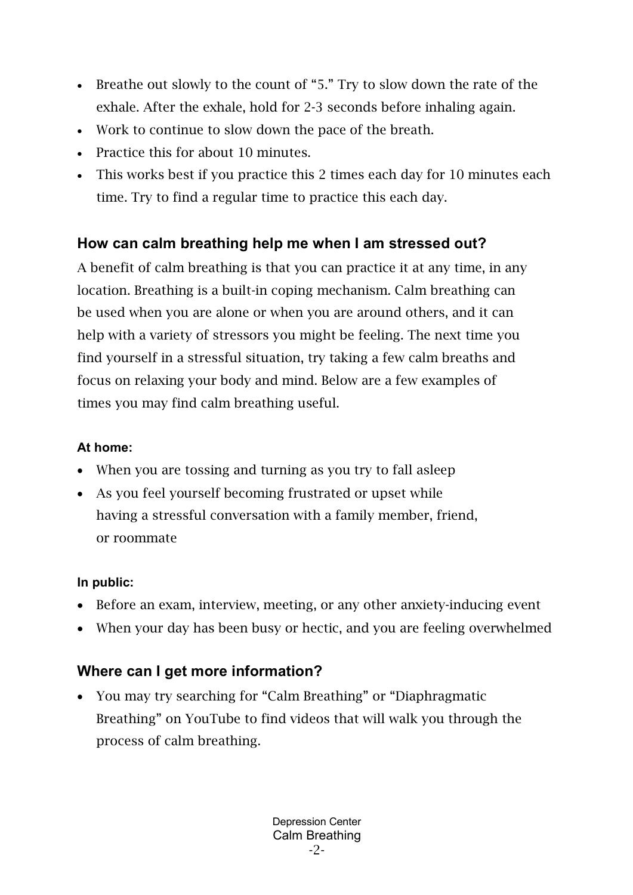- Breathe out slowly to the count of "5." Try to slow down the rate of the exhale. After the exhale, hold for 2-3 seconds before inhaling again.
- Work to continue to slow down the pace of the breath.
- Practice this for about 10 minutes.
- This works best if you practice this 2 times each day for 10 minutes each time. Try to find a regular time to practice this each day.

## **How can calm breathing help me when I am stressed out?**

A benefit of calm breathing is that you can practice it at any time, in any location. Breathing is a built-in coping mechanism. Calm breathing can be used when you are alone or when you are around others, and it can help with a variety of stressors you might be feeling. The next time you find yourself in a stressful situation, try taking a few calm breaths and focus on relaxing your body and mind. Below are a few examples of times you may find calm breathing useful.

### **At home:**

- When you are tossing and turning as you try to fall asleep
- As you feel yourself becoming frustrated or upset while having a stressful conversation with a family member, friend, or roommate

#### **In public:**

- Before an exam, interview, meeting, or any other anxiety-inducing event
- When your day has been busy or hectic, and you are feeling overwhelmed

# **Where can I get more information?**

• You may try searching for "Calm Breathing" or "Diaphragmatic Breathing" on YouTube to find videos that will walk you through the process of calm breathing.